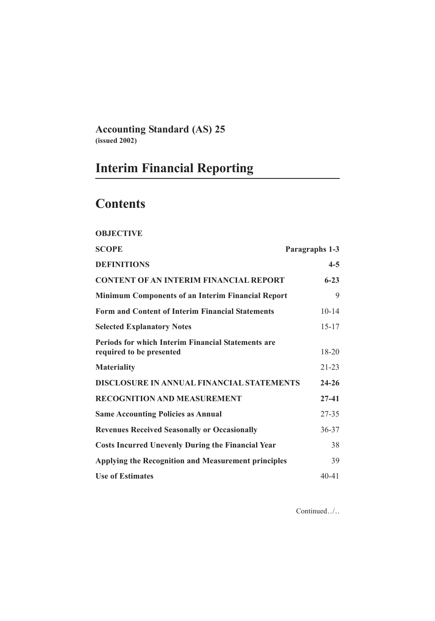**Accounting Standard (AS) 25 (issued 2002)**

# **Interim Financial Reporting**

# **Contents**

# **OBJECTIVE**

| <b>SCOPE</b>                                                                          | Paragraphs 1-3 |  |
|---------------------------------------------------------------------------------------|----------------|--|
| <b>DEFINITIONS</b>                                                                    | $4 - 5$        |  |
| <b>CONTENT OF AN INTERIM FINANCIAL REPORT</b>                                         | $6 - 23$       |  |
| <b>Minimum Components of an Interim Financial Report</b>                              | 9              |  |
| <b>Form and Content of Interim Financial Statements</b>                               | $10 - 14$      |  |
| <b>Selected Explanatory Notes</b>                                                     | $15 - 17$      |  |
| <b>Periods for which Interim Financial Statements are</b><br>required to be presented | 18-20          |  |
| <b>Materiality</b>                                                                    | $21 - 23$      |  |
| DISCLOSURE IN ANNUAL FINANCIAL STATEMENTS                                             | $24 - 26$      |  |
| <b>RECOGNITION AND MEASUREMENT</b>                                                    | $27 - 41$      |  |
| <b>Same Accounting Policies as Annual</b>                                             | $27 - 35$      |  |
| <b>Revenues Received Seasonally or Occasionally</b>                                   | $36 - 37$      |  |
| <b>Costs Incurred Unevenly During the Financial Year</b>                              | 38             |  |
| <b>Applying the Recognition and Measurement principles</b>                            | 39             |  |
| <b>Use of Estimates</b>                                                               | $40 - 41$      |  |

Continued../..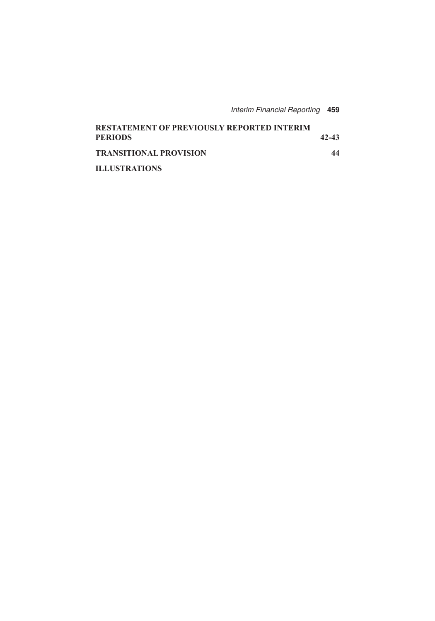| <b>Interim Financial Reporting 459</b> |  |
|----------------------------------------|--|
|----------------------------------------|--|

| <b>RESTATEMENT OF PREVIOUSLY REPORTED INTERIM</b><br><b>PERIODS</b> | 42-43 |
|---------------------------------------------------------------------|-------|
| <b>TRANSITIONAL PROVISION</b>                                       | 44    |
| <b>ILLUSTRATIONS</b>                                                |       |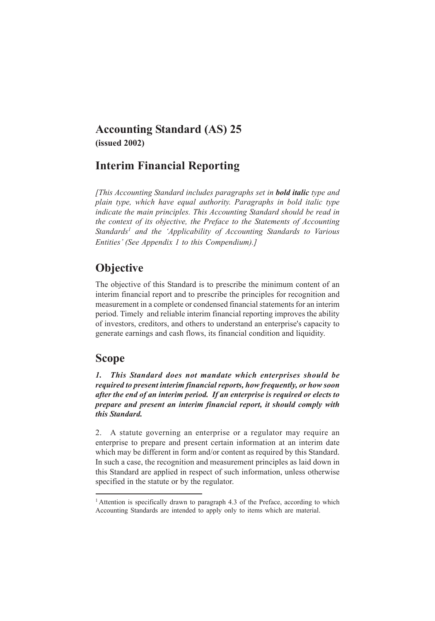## **Accounting Standard (AS) 25 (issued 2002)**

## **Interim Financial Reporting**

*[This Accounting Standard includes paragraphs set in bold italic type and plain type, which have equal authority. Paragraphs in bold italic type indicate the main principles. This Accounting Standard should be read in the context of its objective, the Preface to the Statements of Accounting Standards1 and the 'Applicability of Accounting Standards to Various Entities' (See Appendix 1 to this Compendium).]*

## **Objective**

The objective of this Standard is to prescribe the minimum content of an interim financial report and to prescribe the principles for recognition and measurement in a complete or condensed financial statements for an interim period. Timely and reliable interim financial reporting improves the ability of investors, creditors, and others to understand an enterprise's capacity to generate earnings and cash flows, its financial condition and liquidity.

## **Scope**

*1. This Standard does not mandate which enterprises should be required to present interim financial reports, how frequently, or how soon after the end of an interim period. If an enterprise is required or elects to prepare and present an interim financial report, it should comply with this Standard.*

2. A statute governing an enterprise or a regulator may require an enterprise to prepare and present certain information at an interim date which may be different in form and/or content as required by this Standard. In such a case, the recognition and measurement principles as laid down in this Standard are applied in respect of such information, unless otherwise specified in the statute or by the regulator.

<sup>&</sup>lt;sup>1</sup> Attention is specifically drawn to paragraph 4.3 of the Preface, according to which Accounting Standards are intended to apply only to items which are material.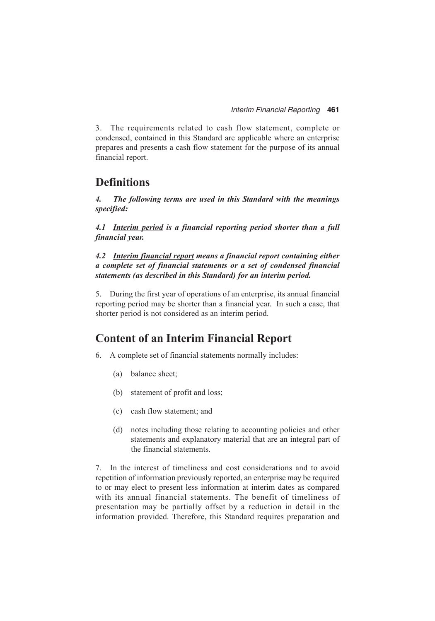3. The requirements related to cash flow statement, complete or condensed, contained in this Standard are applicable where an enterprise prepares and presents a cash flow statement for the purpose of its annual financial report.

## **Definitions**

*4. The following terms are used in this Standard with the meanings specified:*

*4.1 Interim period is a financial reporting period shorter than a full financial year.*

*4.2 Interim financial report means a financial report containing either a complete set of financial statements or a set of condensed financial statements (as described in this Standard) for an interim period.*

5. During the first year of operations of an enterprise, its annual financial reporting period may be shorter than a financial year. In such a case, that shorter period is not considered as an interim period.

## **Content of an Interim Financial Report**

- 6. A complete set of financial statements normally includes:
	- (a) balance sheet;
	- (b) statement of profit and loss;
	- (c) cash flow statement; and
	- (d) notes including those relating to accounting policies and other statements and explanatory material that are an integral part of the financial statements.

7. In the interest of timeliness and cost considerations and to avoid repetition of information previously reported, an enterprise may be required to or may elect to present less information at interim dates as compared with its annual financial statements. The benefit of timeliness of presentation may be partially offset by a reduction in detail in the information provided. Therefore, this Standard requires preparation and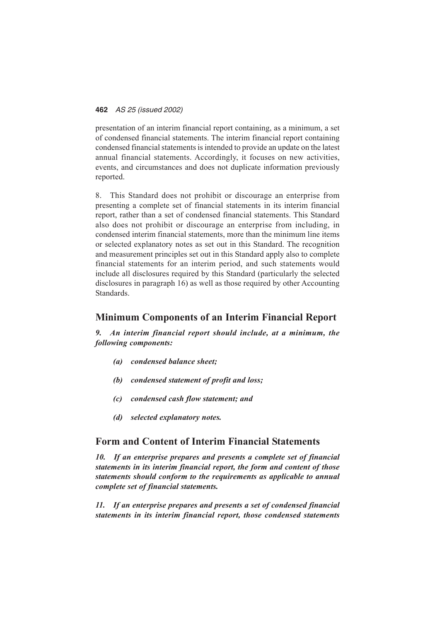presentation of an interim financial report containing, as a minimum, a set of condensed financial statements. The interim financial report containing condensed financial statements is intended to provide an update on the latest annual financial statements. Accordingly, it focuses on new activities, events, and circumstances and does not duplicate information previously reported.

8. This Standard does not prohibit or discourage an enterprise from presenting a complete set of financial statements in its interim financial report, rather than a set of condensed financial statements. This Standard also does not prohibit or discourage an enterprise from including, in condensed interim financial statements, more than the minimum line items or selected explanatory notes as set out in this Standard. The recognition and measurement principles set out in this Standard apply also to complete financial statements for an interim period, and such statements would include all disclosures required by this Standard (particularly the selected disclosures in paragraph 16) as well as those required by other Accounting Standards.

### **Minimum Components of an Interim Financial Report**

*9. An interim financial report should include, at a minimum, the following components:*

- *(a) condensed balance sheet;*
- *(b) condensed statement of profit and loss;*
- *(c) condensed cash flow statement; and*
- *(d) selected explanatory notes.*

### **Form and Content of Interim Financial Statements**

*10. If an enterprise prepares and presents a complete set of financial statements in its interim financial report, the form and content of those statements should conform to the requirements as applicable to annual complete set of financial statements.*

*11. If an enterprise prepares and presents a set of condensed financial statements in its interim financial report, those condensed statements*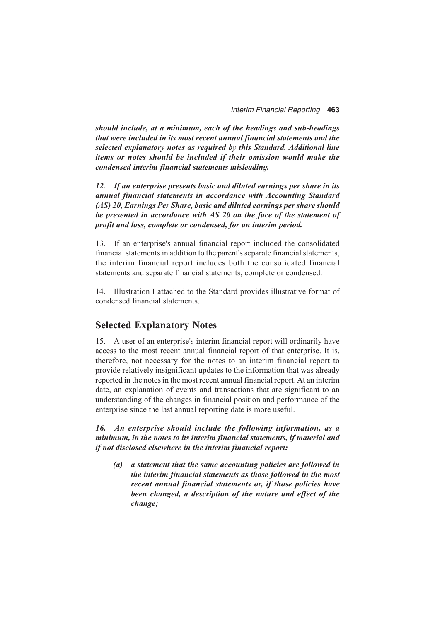*should include, at a minimum, each of the headings and sub-headings that were included in its most recent annual financial statements and the selected explanatory notes as required by this Standard. Additional line items or notes should be included if their omission would make the condensed interim financial statements misleading.*

*12. If an enterprise presents basic and diluted earnings per share in its annual financial statements in accordance with Accounting Standard (AS) 20, Earnings Per Share, basic and diluted earnings per share should be presented in accordance with AS 20 on the face of the statement of profit and loss, complete or condensed, for an interim period.*

13. If an enterprise's annual financial report included the consolidated financial statements in addition to the parent's separate financial statements, the interim financial report includes both the consolidated financial statements and separate financial statements, complete or condensed.

14. Illustration I attached to the Standard provides illustrative format of condensed financial statements.

#### **Selected Explanatory Notes**

15. A user of an enterprise's interim financial report will ordinarily have access to the most recent annual financial report of that enterprise. It is, therefore, not necessary for the notes to an interim financial report to provide relatively insignificant updates to the information that was already reported in the notes in the most recent annual financial report. At an interim date, an explanation of events and transactions that are significant to an understanding of the changes in financial position and performance of the enterprise since the last annual reporting date is more useful.

*16. An enterprise should include the following information, as a minimum, in the notes to its interim financial statements, if material and if not disclosed elsewhere in the interim financial report:*

*(a) a statement that the same accounting policies are followed in the interim financial statements as those followed in the most recent annual financial statements or, if those policies have been changed, a description of the nature and effect of the change;*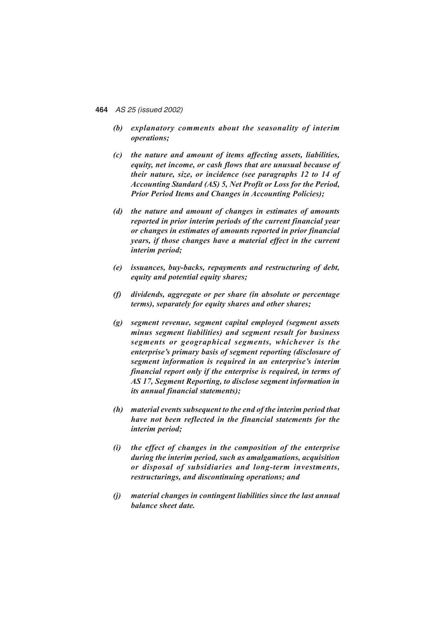- *(b) explanatory comments about the seasonality of interim operations;*
- *(c) the nature and amount of items affecting assets, liabilities, equity, net income, or cash flows that are unusual because of their nature, size, or incidence (see paragraphs 12 to 14 of Accounting Standard (AS) 5, Net Profit or Loss for the Period, Prior Period Items and Changes in Accounting Policies);*
- *(d) the nature and amount of changes in estimates of amounts reported in prior interim periods of the current financial year or changes in estimates of amounts reported in prior financial years, if those changes have a material effect in the current interim period;*
- *(e) issuances, buy-backs, repayments and restructuring of debt, equity and potential equity shares;*
- *(f) dividends, aggregate or per share (in absolute or percentage terms), separately for equity shares and other shares;*
- *(g) segment revenue, segment capital employed (segment assets minus segment liabilities) and segment result for business segments or geographical segments, whichever is the enterprise's primary basis of segment reporting (disclosure of segment information is required in an enterprise's interim financial report only if the enterprise is required, in terms of AS 17, Segment Reporting, to disclose segment information in its annual financial statements);*
- *(h) material events subsequent to the end of the interim period that have not been reflected in the financial statements for the interim period;*
- *(i) the effect of changes in the composition of the enterprise during the interim period, such as amalgamations, acquisition or disposal of subsidiaries and long-term investments, restructurings, and discontinuing operations; and*
- *(j) material changes in contingent liabilities since the last annual balance sheet date.*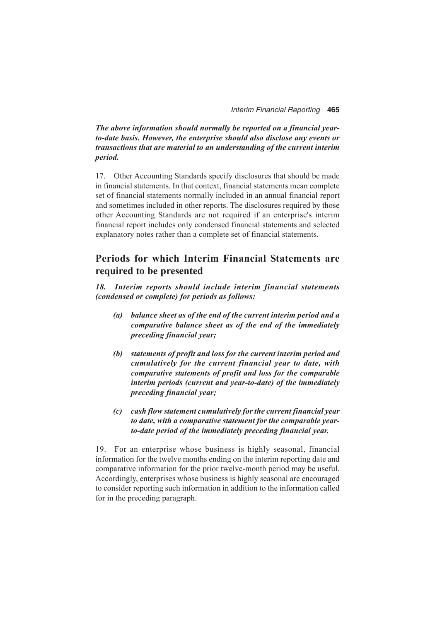*The above information should normally be reported on a financial yearto-date basis. However, the enterprise should also disclose any events or transactions that are material to an understanding of the current interim period.*

17. Other Accounting Standards specify disclosures that should be made in financial statements. In that context, financial statements mean complete set of financial statements normally included in an annual financial report and sometimes included in other reports. The disclosures required by those other Accounting Standards are not required if an enterprise's interim financial report includes only condensed financial statements and selected explanatory notes rather than a complete set of financial statements.

## **Periods for which Interim Financial Statements are required to be presented**

*18. Interim reports should include interim financial statements (condensed or complete) for periods as follows:*

- *(a) balance sheet as of the end of the current interim period and a comparative balance sheet as of the end of the immediately preceding financial year;*
- *(b) statements of profit and loss for the current interim period and cumulatively for the current financial year to date, with comparative statements of profit and loss for the comparable interim periods (current and year-to-date) of the immediately preceding financial year;*
- *(c) cash flow statement cumulatively for the current financial year to date, with a comparative statement for the comparable yearto-date period of the immediately preceding financial year.*

19. For an enterprise whose business is highly seasonal, financial information for the twelve months ending on the interim reporting date and comparative information for the prior twelve-month period may be useful. Accordingly, enterprises whose business is highly seasonal are encouraged to consider reporting such information in addition to the information called for in the preceding paragraph.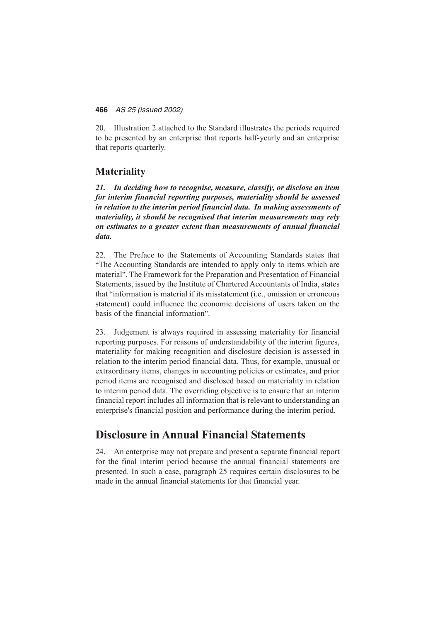20. Illustration 2 attached to the Standard illustrates the periods required to be presented by an enterprise that reports half-yearly and an enterprise that reports quarterly.

## **Materiality**

*21. In deciding how to recognise, measure, classify, or disclose an item for interim financial reporting purposes, materiality should be assessed in relation to the interim period financial data. In making assessments of materiality, it should be recognised that interim measurements may rely on estimates to a greater extent than measurements of annual financial data.*

22. The Preface to the Statements of Accounting Standards states that "The Accounting Standards are intended to apply only to items which are material". The Framework for the Preparation and Presentation of Financial Statements, issued by the Institute of Chartered Accountants of India, states that "information is material if its misstatement (i.e., omission or erroneous statement) could influence the economic decisions of users taken on the basis of the financial information".

23. Judgement is always required in assessing materiality for financial reporting purposes. For reasons of understandability of the interim figures, materiality for making recognition and disclosure decision is assessed in relation to the interim period financial data. Thus, for example, unusual or extraordinary items, changes in accounting policies or estimates, and prior period items are recognised and disclosed based on materiality in relation to interim period data. The overriding objective is to ensure that an interim financial report includes all information that is relevant to understanding an enterprise's financial position and performance during the interim period.

## **Disclosure in Annual Financial Statements**

24. An enterprise may not prepare and present a separate financial report for the final interim period because the annual financial statements are presented. In such a case, paragraph 25 requires certain disclosures to be made in the annual financial statements for that financial year.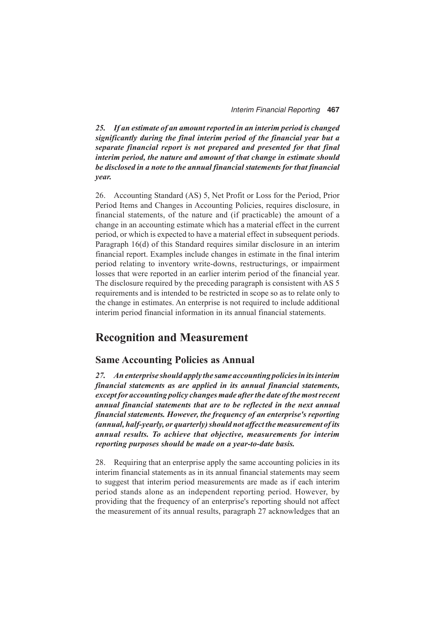*25. If an estimate of an amount reported in an interim period is changed significantly during the final interim period of the financial year but a separate financial report is not prepared and presented for that final interim period, the nature and amount of that change in estimate should be disclosed in a note to the annual financial statements for that financial year.*

26. Accounting Standard (AS) 5, Net Profit or Loss for the Period, Prior Period Items and Changes in Accounting Policies, requires disclosure, in financial statements, of the nature and (if practicable) the amount of a change in an accounting estimate which has a material effect in the current period, or which is expected to have a material effect in subsequent periods. Paragraph 16(d) of this Standard requires similar disclosure in an interim financial report. Examples include changes in estimate in the final interim period relating to inventory write-downs, restructurings, or impairment losses that were reported in an earlier interim period of the financial year. The disclosure required by the preceding paragraph is consistent with AS 5 requirements and is intended to be restricted in scope so as to relate only to the change in estimates. An enterprise is not required to include additional interim period financial information in its annual financial statements.

## **Recognition and Measurement**

#### **Same Accounting Policies as Annual**

*27. An enterprise should apply the same accounting policies in its interim financial statements as are applied in its annual financial statements, except for accounting policy changes made after the date of the most recent annual financial statements that are to be reflected in the next annual financial statements. However, the frequency of an enterprise's reporting (annual, half-yearly, or quarterly) should not affect the measurement of its annual results. To achieve that objective, measurements for interim reporting purposes should be made on a year-to-date basis.*

28. Requiring that an enterprise apply the same accounting policies in its interim financial statements as in its annual financial statements may seem to suggest that interim period measurements are made as if each interim period stands alone as an independent reporting period. However, by providing that the frequency of an enterprise's reporting should not affect the measurement of its annual results, paragraph 27 acknowledges that an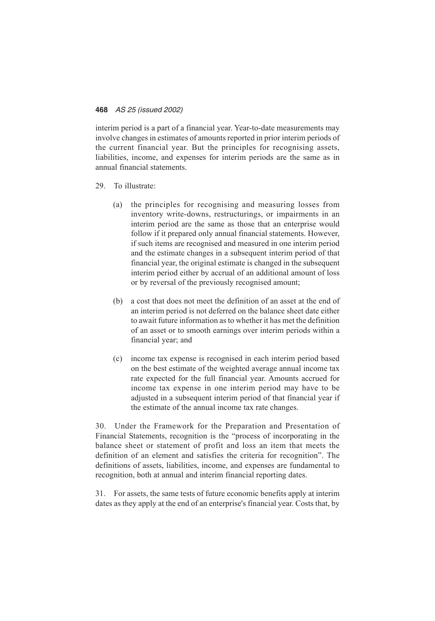interim period is a part of a financial year. Year-to-date measurements may involve changes in estimates of amounts reported in prior interim periods of the current financial year. But the principles for recognising assets, liabilities, income, and expenses for interim periods are the same as in annual financial statements.

- 29. To illustrate:
	- (a) the principles for recognising and measuring losses from inventory write-downs, restructurings, or impairments in an interim period are the same as those that an enterprise would follow if it prepared only annual financial statements. However, if such items are recognised and measured in one interim period and the estimate changes in a subsequent interim period of that financial year, the original estimate is changed in the subsequent interim period either by accrual of an additional amount of loss or by reversal of the previously recognised amount;
	- (b) a cost that does not meet the definition of an asset at the end of an interim period is not deferred on the balance sheet date either to await future information as to whether it has met the definition of an asset or to smooth earnings over interim periods within a financial year; and
	- (c) income tax expense is recognised in each interim period based on the best estimate of the weighted average annual income tax rate expected for the full financial year. Amounts accrued for income tax expense in one interim period may have to be adjusted in a subsequent interim period of that financial year if the estimate of the annual income tax rate changes.

30. Under the Framework for the Preparation and Presentation of Financial Statements, recognition is the "process of incorporating in the balance sheet or statement of profit and loss an item that meets the definition of an element and satisfies the criteria for recognition". The definitions of assets, liabilities, income, and expenses are fundamental to recognition, both at annual and interim financial reporting dates.

31. For assets, the same tests of future economic benefits apply at interim dates as they apply at the end of an enterprise's financial year. Costs that, by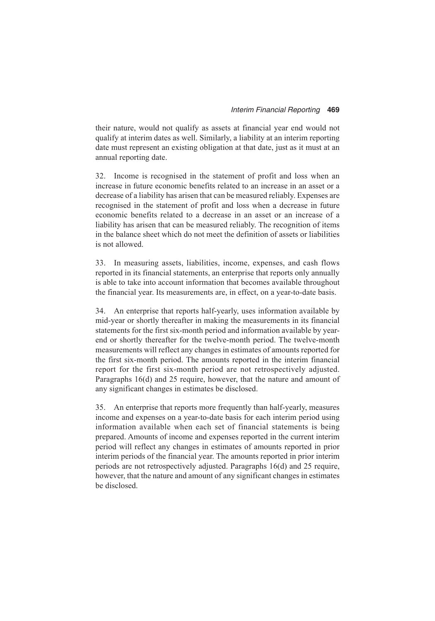their nature, would not qualify as assets at financial year end would not qualify at interim dates as well. Similarly, a liability at an interim reporting date must represent an existing obligation at that date, just as it must at an annual reporting date.

32. Income is recognised in the statement of profit and loss when an increase in future economic benefits related to an increase in an asset or a decrease of a liability has arisen that can be measured reliably. Expenses are recognised in the statement of profit and loss when a decrease in future economic benefits related to a decrease in an asset or an increase of a liability has arisen that can be measured reliably. The recognition of items in the balance sheet which do not meet the definition of assets or liabilities is not allowed.

33. In measuring assets, liabilities, income, expenses, and cash flows reported in its financial statements, an enterprise that reports only annually is able to take into account information that becomes available throughout the financial year. Its measurements are, in effect, on a year-to-date basis.

34. An enterprise that reports half-yearly, uses information available by mid-year or shortly thereafter in making the measurements in its financial statements for the first six-month period and information available by yearend or shortly thereafter for the twelve-month period. The twelve-month measurements will reflect any changes in estimates of amounts reported for the first six-month period. The amounts reported in the interim financial report for the first six-month period are not retrospectively adjusted. Paragraphs 16(d) and 25 require, however, that the nature and amount of any significant changes in estimates be disclosed.

35. An enterprise that reports more frequently than half-yearly, measures income and expenses on a year-to-date basis for each interim period using information available when each set of financial statements is being prepared. Amounts of income and expenses reported in the current interim period will reflect any changes in estimates of amounts reported in prior interim periods of the financial year. The amounts reported in prior interim periods are not retrospectively adjusted. Paragraphs 16(d) and 25 require, however, that the nature and amount of any significant changes in estimates be disclosed.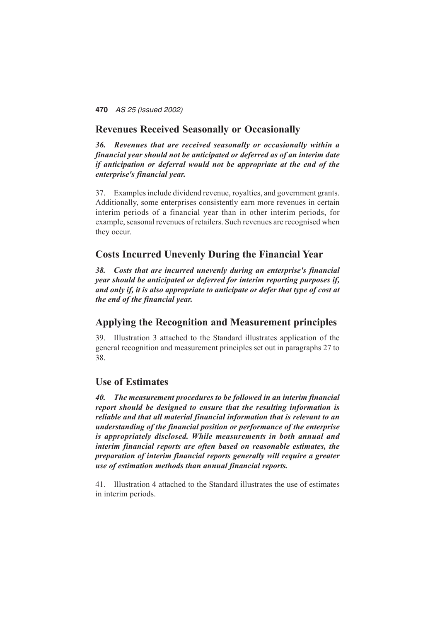### **Revenues Received Seasonally or Occasionally**

*36. Revenues that are received seasonally or occasionally within a financial year should not be anticipated or deferred as of an interim date if anticipation or deferral would not be appropriate at the end of the enterprise's financial year.*

37. Examples include dividend revenue, royalties, and government grants. Additionally, some enterprises consistently earn more revenues in certain interim periods of a financial year than in other interim periods, for example, seasonal revenues of retailers. Such revenues are recognised when they occur.

### **Costs Incurred Unevenly During the Financial Year**

*38. Costs that are incurred unevenly during an enterprise's financial year should be anticipated or deferred for interim reporting purposes if, and only if, it is also appropriate to anticipate or defer that type of cost at the end of the financial year.*

### **Applying the Recognition and Measurement principles**

39. Illustration 3 attached to the Standard illustrates application of the general recognition and measurement principles set out in paragraphs 27 to 38.

### **Use of Estimates**

*40. The measurement procedures to be followed in an interim financial report should be designed to ensure that the resulting information is reliable and that all material financial information that is relevant to an understanding of the financial position or performance of the enterprise is appropriately disclosed. While measurements in both annual and interim financial reports are often based on reasonable estimates, the preparation of interim financial reports generally will require a greater use of estimation methods than annual financial reports.*

41. Illustration 4 attached to the Standard illustrates the use of estimates in interim periods.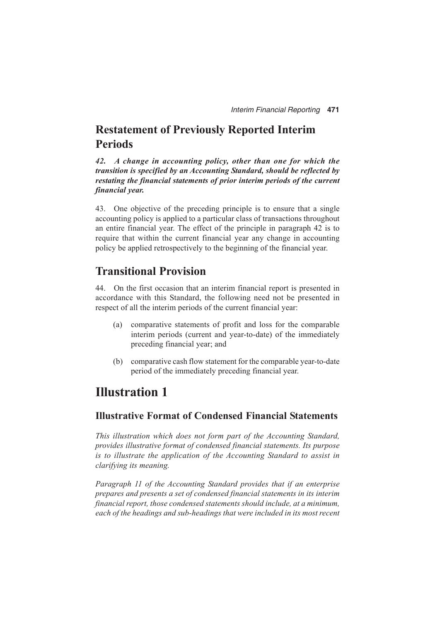## **Restatement of Previously Reported Interim Periods**

*42. A change in accounting policy, other than one for which the transition is specified by an Accounting Standard, should be reflected by restating the financial statements of prior interim periods of the current financial year.*

43. One objective of the preceding principle is to ensure that a single accounting policy is applied to a particular class of transactions throughout an entire financial year. The effect of the principle in paragraph 42 is to require that within the current financial year any change in accounting policy be applied retrospectively to the beginning of the financial year.

## **Transitional Provision**

44. On the first occasion that an interim financial report is presented in accordance with this Standard, the following need not be presented in respect of all the interim periods of the current financial year:

- (a) comparative statements of profit and loss for the comparable interim periods (current and year-to-date) of the immediately preceding financial year; and
- (b) comparative cash flow statement for the comparable year-to-date period of the immediately preceding financial year.

## **Illustration 1**

### **Illustrative Format of Condensed Financial Statements**

*This illustration which does not form part of the Accounting Standard, provides illustrative format of condensed financial statements. Its purpose is to illustrate the application of the Accounting Standard to assist in clarifying its meaning.*

*Paragraph 11 of the Accounting Standard provides that if an enterprise prepares and presents a set of condensed financial statements in its interim financial report, those condensed statements should include, at a minimum, each of the headings and sub-headings that were included in its most recent*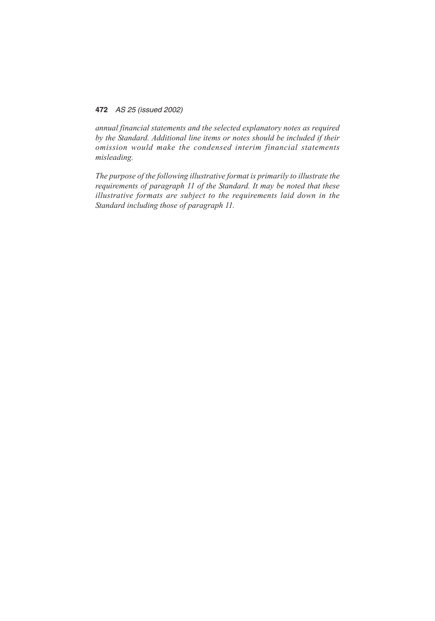*annual financial statements and the selected explanatory notes as required by the Standard. Additional line items or notes should be included if their omission would make the condensed interim financial statements misleading.*

*The purpose of the following illustrative format is primarily to illustrate the requirements of paragraph 11 of the Standard. It may be noted that these illustrative formats are subject to the requirements laid down in the Standard including those of paragraph 11.*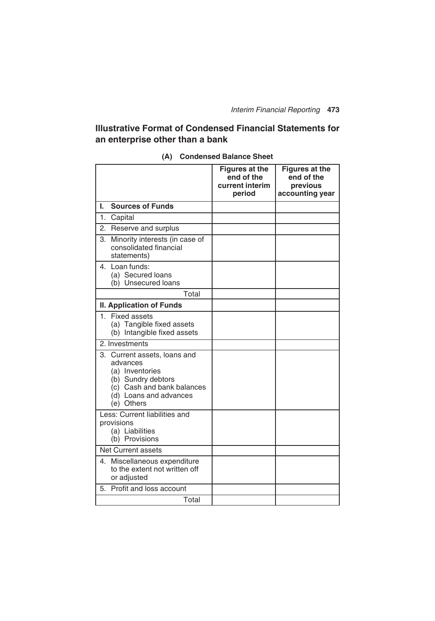## **Illustrative Format of Condensed Financial Statements for an enterprise other than a bank**

|                                                                                                                                                         | <b>Figures at the</b><br>end of the<br>current interim<br>period | <b>Figures at the</b><br>end of the<br>previous<br>accounting year |
|---------------------------------------------------------------------------------------------------------------------------------------------------------|------------------------------------------------------------------|--------------------------------------------------------------------|
| <b>Sources of Funds</b><br>L                                                                                                                            |                                                                  |                                                                    |
| 1. Capital                                                                                                                                              |                                                                  |                                                                    |
| 2. Reserve and surplus                                                                                                                                  |                                                                  |                                                                    |
| 3. Minority interests (in case of<br>consolidated financial<br>statements)                                                                              |                                                                  |                                                                    |
| 4. Loan funds:<br>(a) Secured loans<br>(b) Unsecured loans                                                                                              |                                                                  |                                                                    |
| Total                                                                                                                                                   |                                                                  |                                                                    |
| <b>II. Application of Funds</b>                                                                                                                         |                                                                  |                                                                    |
| 1. Fixed assets<br>(a) Tangible fixed assets<br>(b) Intangible fixed assets                                                                             |                                                                  |                                                                    |
| 2. Investments                                                                                                                                          |                                                                  |                                                                    |
| 3. Current assets, loans and<br>advances<br>(a) Inventories<br>(b) Sundry debtors<br>(c) Cash and bank balances<br>(d) Loans and advances<br>(e) Others |                                                                  |                                                                    |
| Less: Current liabilities and<br>provisions<br>(a) Liabilities<br>(b) Provisions                                                                        |                                                                  |                                                                    |
| <b>Net Current assets</b>                                                                                                                               |                                                                  |                                                                    |
| 4. Miscellaneous expenditure<br>to the extent not written off<br>or adjusted                                                                            |                                                                  |                                                                    |
| 5. Profit and loss account                                                                                                                              |                                                                  |                                                                    |
| Total                                                                                                                                                   |                                                                  |                                                                    |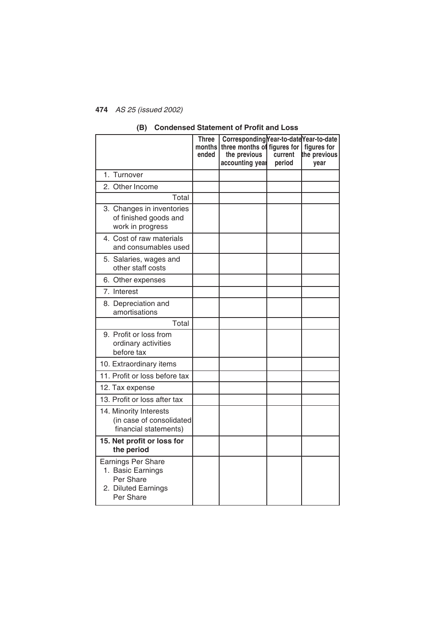|                                                                                                 | <b>Three</b><br>months<br>ended | Corresponding Year-to-date Year-to-date<br>three months of figures for<br>the previous<br>accounting year | current<br>period | figures for<br>the previous<br>year |
|-------------------------------------------------------------------------------------------------|---------------------------------|-----------------------------------------------------------------------------------------------------------|-------------------|-------------------------------------|
| 1. Turnover                                                                                     |                                 |                                                                                                           |                   |                                     |
| 2. Other Income                                                                                 |                                 |                                                                                                           |                   |                                     |
| Total                                                                                           |                                 |                                                                                                           |                   |                                     |
| 3. Changes in inventories<br>of finished goods and<br>work in progress                          |                                 |                                                                                                           |                   |                                     |
| 4. Cost of raw materials<br>and consumables used                                                |                                 |                                                                                                           |                   |                                     |
| 5. Salaries, wages and<br>other staff costs                                                     |                                 |                                                                                                           |                   |                                     |
| 6. Other expenses                                                                               |                                 |                                                                                                           |                   |                                     |
| 7. Interest                                                                                     |                                 |                                                                                                           |                   |                                     |
| 8. Depreciation and<br>amortisations                                                            |                                 |                                                                                                           |                   |                                     |
| Total                                                                                           |                                 |                                                                                                           |                   |                                     |
| 9. Profit or loss from<br>ordinary activities<br>before tax                                     |                                 |                                                                                                           |                   |                                     |
| 10. Extraordinary items                                                                         |                                 |                                                                                                           |                   |                                     |
| 11. Profit or loss before tax                                                                   |                                 |                                                                                                           |                   |                                     |
| 12. Tax expense                                                                                 |                                 |                                                                                                           |                   |                                     |
| 13. Profit or loss after tax                                                                    |                                 |                                                                                                           |                   |                                     |
| 14. Minority Interests<br>(in case of consolidated<br>financial statements)                     |                                 |                                                                                                           |                   |                                     |
| 15. Net profit or loss for<br>the period                                                        |                                 |                                                                                                           |                   |                                     |
| <b>Earnings Per Share</b><br>1. Basic Earnings<br>Per Share<br>2. Diluted Earnings<br>Per Share |                                 |                                                                                                           |                   |                                     |

#### **(B) Condensed Statement of Profit and Loss**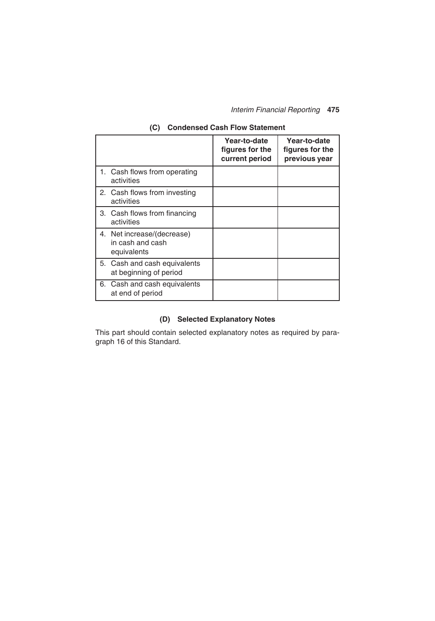*Interim Financial Reporting* **475**

|                                                               | Year-to-date<br>figures for the<br>current period | Year-to-date<br>figures for the<br>previous year |
|---------------------------------------------------------------|---------------------------------------------------|--------------------------------------------------|
| 1. Cash flows from operating<br>activities                    |                                                   |                                                  |
| 2. Cash flows from investing<br>activities                    |                                                   |                                                  |
| 3. Cash flows from financing<br>activities                    |                                                   |                                                  |
| 4. Net increase/(decrease)<br>in cash and cash<br>equivalents |                                                   |                                                  |
| 5. Cash and cash equivalents<br>at beginning of period        |                                                   |                                                  |
| 6. Cash and cash equivalents<br>at end of period              |                                                   |                                                  |

## **(C) Condensed Cash Flow Statement**

## **(D) Selected Explanatory Notes**

This part should contain selected explanatory notes as required by paragraph 16 of this Standard.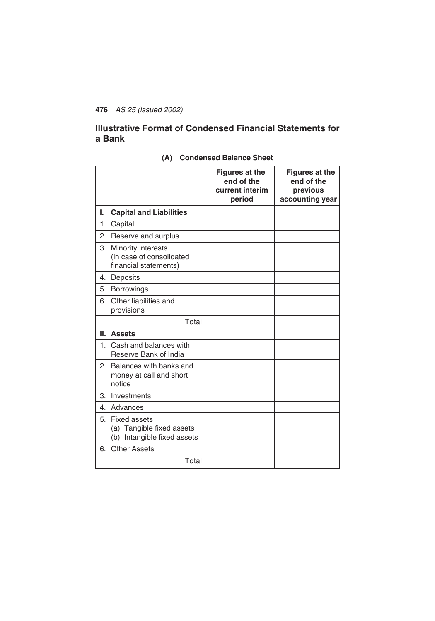## **Illustrative Format of Condensed Financial Statements for a Bank**

|    |                                                                             | <b>Figures at the</b><br>end of the<br>current interim<br>period | <b>Figures at the</b><br>end of the<br>previous<br>accounting year |
|----|-----------------------------------------------------------------------------|------------------------------------------------------------------|--------------------------------------------------------------------|
| ı. | <b>Capital and Liabilities</b>                                              |                                                                  |                                                                    |
| 1. | Capital                                                                     |                                                                  |                                                                    |
| 2. | Reserve and surplus                                                         |                                                                  |                                                                    |
| 3. | Minority interests<br>(in case of consolidated<br>financial statements)     |                                                                  |                                                                    |
| 4. | Deposits                                                                    |                                                                  |                                                                    |
| 5. | <b>Borrowings</b>                                                           |                                                                  |                                                                    |
| 6. | Other liabilities and<br>provisions                                         |                                                                  |                                                                    |
|    | Total                                                                       |                                                                  |                                                                    |
|    | II. Assets                                                                  |                                                                  |                                                                    |
|    | 1. Cash and balances with<br>Reserve Bank of India                          |                                                                  |                                                                    |
|    | 2. Balances with banks and<br>money at call and short<br>notice             |                                                                  |                                                                    |
| 3. | Investments                                                                 |                                                                  |                                                                    |
|    | 4. Advances                                                                 |                                                                  |                                                                    |
|    | 5. Fixed assets<br>(a) Tangible fixed assets<br>(b) Intangible fixed assets |                                                                  |                                                                    |
| 6. | <b>Other Assets</b>                                                         |                                                                  |                                                                    |
|    | Total                                                                       |                                                                  |                                                                    |

#### **(A) Condensed Balance Sheet**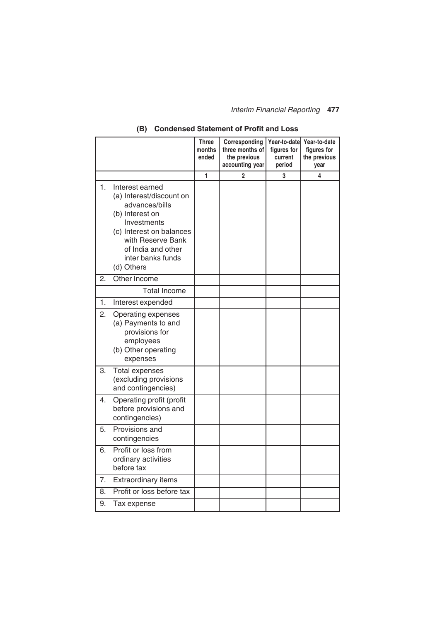## *Interim Financial Reporting* **477**

|    |                                                                                                                                                                                                           | <b>Three</b><br>months<br>ended | Corresponding<br>three months of<br>the previous<br>accounting year | Year-to-date<br>figures for<br>current<br>period | Year-to-date<br>figures for<br>the previous<br>year |
|----|-----------------------------------------------------------------------------------------------------------------------------------------------------------------------------------------------------------|---------------------------------|---------------------------------------------------------------------|--------------------------------------------------|-----------------------------------------------------|
|    |                                                                                                                                                                                                           | 1                               | $\overline{2}$                                                      | 3                                                | 4                                                   |
| 1. | Interest earned<br>(a) Interest/discount on<br>advances/bills<br>(b) Interest on<br>Investments<br>(c) Interest on balances<br>with Reserve Bank<br>of India and other<br>inter banks funds<br>(d) Others |                                 |                                                                     |                                                  |                                                     |
| 2. | Other Income                                                                                                                                                                                              |                                 |                                                                     |                                                  |                                                     |
|    | <b>Total Income</b>                                                                                                                                                                                       |                                 |                                                                     |                                                  |                                                     |
| 1. | Interest expended                                                                                                                                                                                         |                                 |                                                                     |                                                  |                                                     |
| 2. | Operating expenses<br>(a) Payments to and<br>provisions for<br>employees<br>(b) Other operating<br>expenses                                                                                               |                                 |                                                                     |                                                  |                                                     |
| 3. | <b>Total expenses</b><br>(excluding provisions<br>and contingencies)                                                                                                                                      |                                 |                                                                     |                                                  |                                                     |
| 4. | Operating profit (profit<br>before provisions and<br>contingencies)                                                                                                                                       |                                 |                                                                     |                                                  |                                                     |
| 5. | Provisions and<br>contingencies                                                                                                                                                                           |                                 |                                                                     |                                                  |                                                     |
| 6. | Profit or loss from<br>ordinary activities<br>before tax                                                                                                                                                  |                                 |                                                                     |                                                  |                                                     |
| 7. | Extraordinary items                                                                                                                                                                                       |                                 |                                                                     |                                                  |                                                     |
| 8. | Profit or loss before tax                                                                                                                                                                                 |                                 |                                                                     |                                                  |                                                     |
| 9. | Tax expense                                                                                                                                                                                               |                                 |                                                                     |                                                  |                                                     |

## **(B) Condensed Statement of Profit and Loss**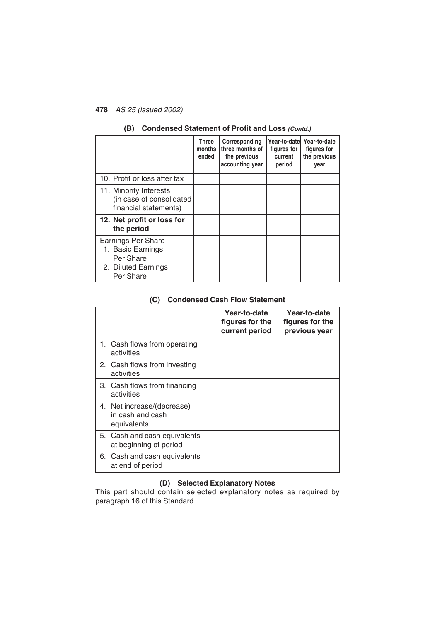|                                                                                                 | <b>Three</b><br>months<br>ended | Corresponding<br>three months of<br>the previous<br>accounting year | Year-to-datel<br>figures for<br>current<br>period | Year-to-date<br>figures for<br>the previous<br>year |
|-------------------------------------------------------------------------------------------------|---------------------------------|---------------------------------------------------------------------|---------------------------------------------------|-----------------------------------------------------|
| 10. Profit or loss after tax                                                                    |                                 |                                                                     |                                                   |                                                     |
| 11. Minority Interests<br>(in case of consolidated<br>financial statements)                     |                                 |                                                                     |                                                   |                                                     |
| 12. Net profit or loss for<br>the period                                                        |                                 |                                                                     |                                                   |                                                     |
| <b>Earnings Per Share</b><br>1. Basic Earnings<br>Per Share<br>2. Diluted Earnings<br>Per Share |                                 |                                                                     |                                                   |                                                     |

## **(B) Condensed Statement of Profit and Loss** *(Contd.)*

#### **(C) Condensed Cash Flow Statement**

|                  |                                                        | Year-to-date<br>figures for the<br>current period | Year-to-date<br>figures for the<br>previous year |
|------------------|--------------------------------------------------------|---------------------------------------------------|--------------------------------------------------|
| activities       | 1. Cash flows from operating                           |                                                   |                                                  |
| activities       | 2. Cash flows from investing                           |                                                   |                                                  |
| activities       | 3. Cash flows from financing                           |                                                   |                                                  |
| equivalents      | 4. Net increase/(decrease)<br>in cash and cash         |                                                   |                                                  |
|                  | 5. Cash and cash equivalents<br>at beginning of period |                                                   |                                                  |
| at end of period | 6. Cash and cash equivalents                           |                                                   |                                                  |

## **(D) Selected Explanatory Notes**

This part should contain selected explanatory notes as required by paragraph 16 of this Standard.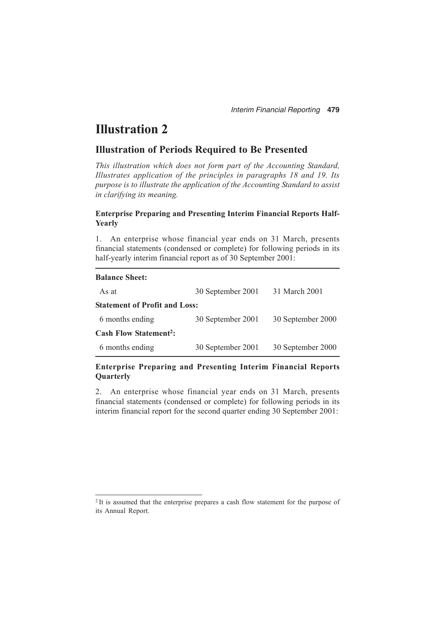## **Illustration 2**

### **Illustration of Periods Required to Be Presented**

*This illustration which does not form part of the Accounting Standard, Illustrates application of the principles in paragraphs 18 and 19. Its purpose is to illustrate the application of the Accounting Standard to assist in clarifying its meaning.*

#### **Enterprise Preparing and Presenting Interim Financial Reports Half-Yearly**

1. An enterprise whose financial year ends on 31 March, presents financial statements (condensed or complete) for following periods in its half-yearly interim financial report as of 30 September 2001:

| <b>Balance Sheet:</b>                   |                   |                   |
|-----------------------------------------|-------------------|-------------------|
| As at                                   | 30 September 2001 | 31 March 2001     |
| <b>Statement of Profit and Loss:</b>    |                   |                   |
| 6 months ending                         | 30 September 2001 | 30 September 2000 |
| <b>Cash Flow Statement<sup>2</sup>:</b> |                   |                   |
| 6 months ending                         | 30 September 2001 | 30 September 2000 |

#### **Enterprise Preparing and Presenting Interim Financial Reports Quarterly**

2. An enterprise whose financial year ends on 31 March, presents financial statements (condensed or complete) for following periods in its interim financial report for the second quarter ending 30 September 2001:

<sup>2</sup> It is assumed that the enterprise prepares a cash flow statement for the purpose of its Annual Report.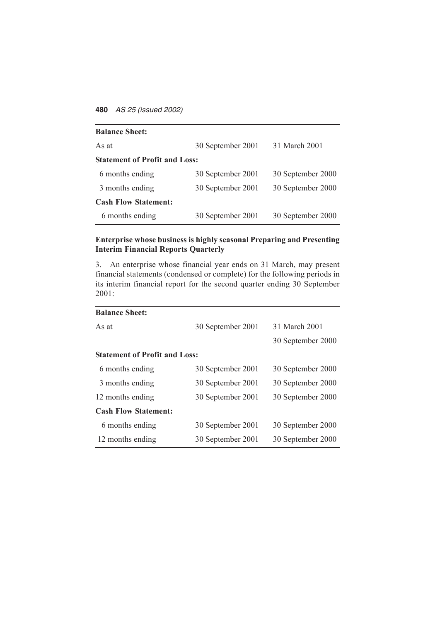| <b>Balance Sheet:</b>                |                   |                   |  |
|--------------------------------------|-------------------|-------------------|--|
| As at                                | 30 September 2001 | 31 March 2001     |  |
| <b>Statement of Profit and Loss:</b> |                   |                   |  |
| 6 months ending                      | 30 September 2001 | 30 September 2000 |  |
| 3 months ending                      | 30 September 2001 | 30 September 2000 |  |
| <b>Cash Flow Statement:</b>          |                   |                   |  |
| 6 months ending                      | 30 September 2001 | 30 September 2000 |  |

### **Enterprise whose business is highly seasonal Preparing and Presenting Interim Financial Reports Quarterly**

3. An enterprise whose financial year ends on 31 March, may present financial statements (condensed or complete) for the following periods in its interim financial report for the second quarter ending 30 September 2001:

| <b>Balance Sheet:</b>                |                   |                   |  |  |
|--------------------------------------|-------------------|-------------------|--|--|
| As at                                | 30 September 2001 | 31 March 2001     |  |  |
|                                      |                   | 30 September 2000 |  |  |
| <b>Statement of Profit and Loss:</b> |                   |                   |  |  |
| 6 months ending                      | 30 September 2001 | 30 September 2000 |  |  |
| 3 months ending                      | 30 September 2001 | 30 September 2000 |  |  |
| 12 months ending                     | 30 September 2001 | 30 September 2000 |  |  |
| <b>Cash Flow Statement:</b>          |                   |                   |  |  |
| 6 months ending                      | 30 September 2001 | 30 September 2000 |  |  |
| 12 months ending                     | 30 September 2001 | 30 September 2000 |  |  |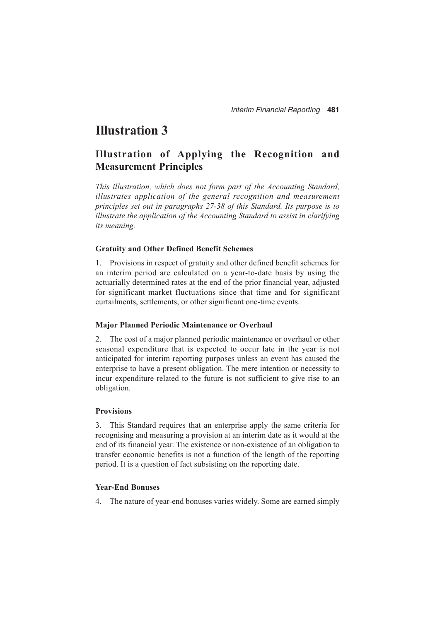## **Illustration 3**

## **Illustration of Applying the Recognition and Measurement Principles**

*This illustration, which does not form part of the Accounting Standard, illustrates application of the general recognition and measurement principles set out in paragraphs 27-38 of this Standard. Its purpose is to illustrate the application of the Accounting Standard to assist in clarifying its meaning.*

#### **Gratuity and Other Defined Benefit Schemes**

1. Provisions in respect of gratuity and other defined benefit schemes for an interim period are calculated on a year-to-date basis by using the actuarially determined rates at the end of the prior financial year, adjusted for significant market fluctuations since that time and for significant curtailments, settlements, or other significant one-time events.

#### **Major Planned Periodic Maintenance or Overhaul**

2. The cost of a major planned periodic maintenance or overhaul or other seasonal expenditure that is expected to occur late in the year is not anticipated for interim reporting purposes unless an event has caused the enterprise to have a present obligation. The mere intention or necessity to incur expenditure related to the future is not sufficient to give rise to an obligation.

#### **Provisions**

3. This Standard requires that an enterprise apply the same criteria for recognising and measuring a provision at an interim date as it would at the end of its financial year. The existence or non-existence of an obligation to transfer economic benefits is not a function of the length of the reporting period. It is a question of fact subsisting on the reporting date.

#### **Year-End Bonuses**

4. The nature of year-end bonuses varies widely. Some are earned simply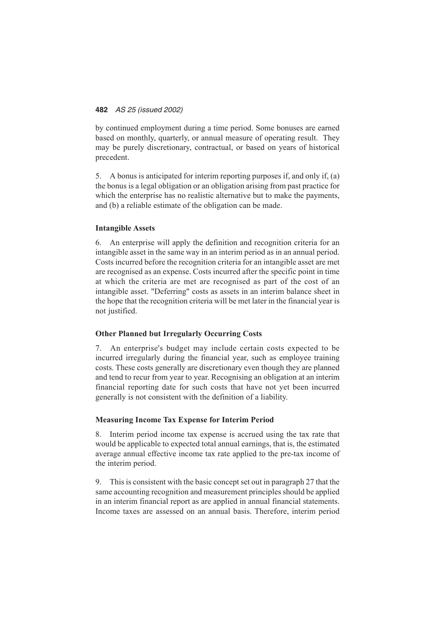by continued employment during a time period. Some bonuses are earned based on monthly, quarterly, or annual measure of operating result. They may be purely discretionary, contractual, or based on years of historical precedent.

5. A bonus is anticipated for interim reporting purposes if, and only if, (a) the bonus is a legal obligation or an obligation arising from past practice for which the enterprise has no realistic alternative but to make the payments, and (b) a reliable estimate of the obligation can be made.

#### **Intangible Assets**

6. An enterprise will apply the definition and recognition criteria for an intangible asset in the same way in an interim period as in an annual period. Costs incurred before the recognition criteria for an intangible asset are met are recognised as an expense. Costs incurred after the specific point in time at which the criteria are met are recognised as part of the cost of an intangible asset. "Deferring" costs as assets in an interim balance sheet in the hope that the recognition criteria will be met later in the financial year is not justified.

#### **Other Planned but Irregularly Occurring Costs**

7. An enterprise's budget may include certain costs expected to be incurred irregularly during the financial year, such as employee training costs. These costs generally are discretionary even though they are planned and tend to recur from year to year. Recognising an obligation at an interim financial reporting date for such costs that have not yet been incurred generally is not consistent with the definition of a liability.

#### **Measuring Income Tax Expense for Interim Period**

8. Interim period income tax expense is accrued using the tax rate that would be applicable to expected total annual earnings, that is, the estimated average annual effective income tax rate applied to the pre-tax income of the interim period.

9. This is consistent with the basic concept set out in paragraph 27 that the same accounting recognition and measurement principles should be applied in an interim financial report as are applied in annual financial statements. Income taxes are assessed on an annual basis. Therefore, interim period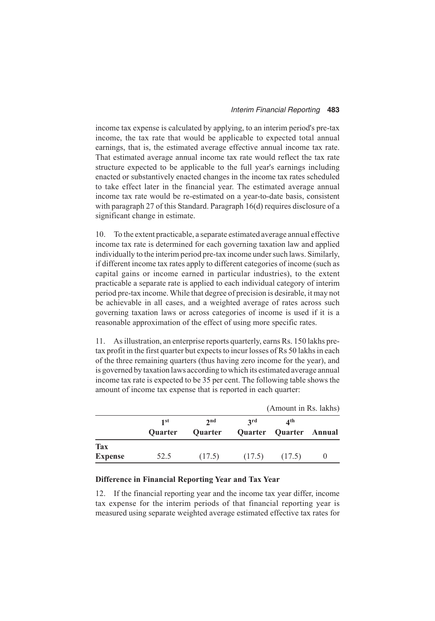income tax expense is calculated by applying, to an interim period's pre-tax income, the tax rate that would be applicable to expected total annual earnings, that is, the estimated average effective annual income tax rate. That estimated average annual income tax rate would reflect the tax rate structure expected to be applicable to the full year's earnings including enacted or substantively enacted changes in the income tax rates scheduled to take effect later in the financial year. The estimated average annual income tax rate would be re-estimated on a year-to-date basis, consistent with paragraph 27 of this Standard. Paragraph 16(d) requires disclosure of a significant change in estimate.

10. To the extent practicable, a separate estimated average annual effective income tax rate is determined for each governing taxation law and applied individually to the interim period pre-tax income under such laws. Similarly, if different income tax rates apply to different categories of income (such as capital gains or income earned in particular industries), to the extent practicable a separate rate is applied to each individual category of interim period pre-tax income. While that degree of precision is desirable, it may not be achievable in all cases, and a weighted average of rates across such governing taxation laws or across categories of income is used if it is a reasonable approximation of the effect of using more specific rates.

11. As illustration, an enterprise reports quarterly, earns Rs. 150 lakhs pretax profit in the first quarter but expects to incur losses of Rs 50 lakhs in each of the three remaining quarters (thus having zero income for the year), and is governed by taxation laws according to which its estimated average annual income tax rate is expected to be 35 per cent. The following table shows the amount of income tax expense that is reported in each quarter:

|                |                 |                            | (Amount in Rs. lakhs) |                                                    |  |
|----------------|-----------------|----------------------------|-----------------------|----------------------------------------------------|--|
|                | 1 st<br>Quarter | 2 <sub>nd</sub><br>Quarter | 2rd                   | $\mathbf{A}^{\text{th}}$<br>Quarter Quarter Annual |  |
| <b>Tax</b>     |                 |                            |                       |                                                    |  |
| <b>Expense</b> | 52.5            | (17.5)                     | (17.5)                | (17.5)                                             |  |

#### **Difference in Financial Reporting Year and Tax Year**

12. If the financial reporting year and the income tax year differ, income tax expense for the interim periods of that financial reporting year is measured using separate weighted average estimated effective tax rates for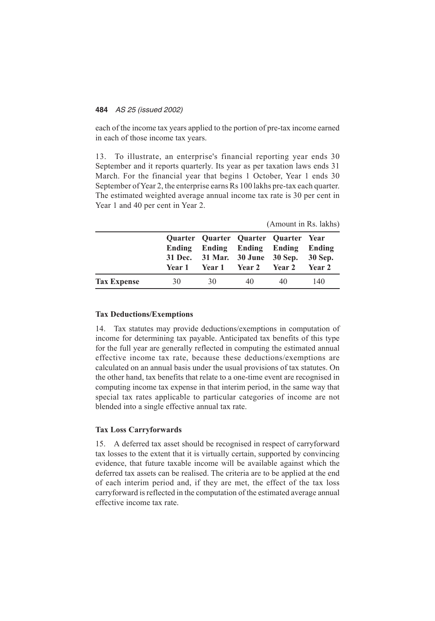each of the income tax years applied to the portion of pre-tax income earned in each of those income tax years.

13. To illustrate, an enterprise's financial reporting year ends 30 September and it reports quarterly. Its year as per taxation laws ends 31 March. For the financial year that begins 1 October, Year 1 ends 30 September of Year 2, the enterprise earns Rs 100 lakhs pre-tax each quarter. The estimated weighted average annual income tax rate is 30 per cent in Year 1 and 40 per cent in Year 2.

| (Amount in Rs. lakhs) |  |  |  |
|-----------------------|--|--|--|
|-----------------------|--|--|--|

|                    |    | Quarter Quarter Quarter Quarter Year<br>Ending Ending Ending Ending<br>31 Dec. 31 Mar. 30 June 30 Sep.<br>Year 1 Year 1 Year 2 Year 2 |    |    | Ending<br>30 Sep.<br>Year 2 |
|--------------------|----|---------------------------------------------------------------------------------------------------------------------------------------|----|----|-----------------------------|
| <b>Tax Expense</b> | 30 | 30                                                                                                                                    | 40 | 40 | 140                         |

#### **Tax Deductions/Exemptions**

14. Tax statutes may provide deductions/exemptions in computation of income for determining tax payable. Anticipated tax benefits of this type for the full year are generally reflected in computing the estimated annual effective income tax rate, because these deductions/exemptions are calculated on an annual basis under the usual provisions of tax statutes. On the other hand, tax benefits that relate to a one-time event are recognised in computing income tax expense in that interim period, in the same way that special tax rates applicable to particular categories of income are not blended into a single effective annual tax rate.

#### **Tax Loss Carryforwards**

15. A deferred tax asset should be recognised in respect of carryforward tax losses to the extent that it is virtually certain, supported by convincing evidence, that future taxable income will be available against which the deferred tax assets can be realised. The criteria are to be applied at the end of each interim period and, if they are met, the effect of the tax loss carryforward is reflected in the computation of the estimated average annual effective income tax rate.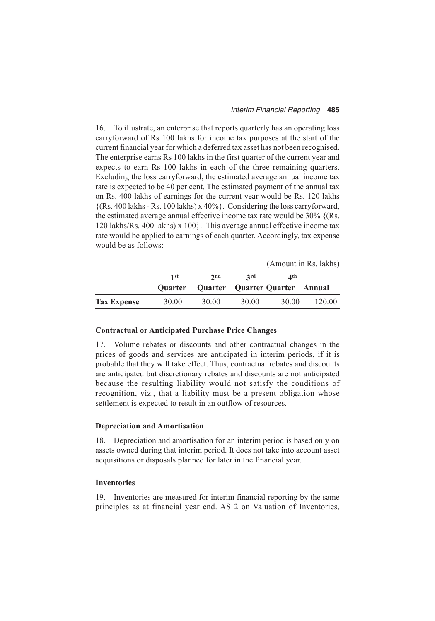#### *Interim Financial Reporting* **485**

16. To illustrate, an enterprise that reports quarterly has an operating loss carryforward of Rs 100 lakhs for income tax purposes at the start of the current financial year for which a deferred tax asset has not been recognised. The enterprise earns Rs 100 lakhs in the first quarter of the current year and expects to earn Rs 100 lakhs in each of the three remaining quarters. Excluding the loss carryforward, the estimated average annual income tax rate is expected to be 40 per cent. The estimated payment of the annual tax on Rs. 400 lakhs of earnings for the current year would be Rs. 120 lakhs  $\{(Rs. 400$  lakhs - Rs. 100 lakhs) x 40%}. Considering the loss carryforward, the estimated average annual effective income tax rate would be 30% {(Rs. 120 lakhs/Rs. 400 lakhs) x 100}. This average annual effective income tax rate would be applied to earnings of each quarter. Accordingly, tax expense would be as follows:

|                    |                |       |                                |       | (Amount in Rs. lakhs) |
|--------------------|----------------|-------|--------------------------------|-------|-----------------------|
|                    | 1st            | 2nd   | 2rd                            | ⊿th   |                       |
|                    | <b>Ouarter</b> |       | Quarter Quarter Quarter Annual |       |                       |
| <b>Tax Expense</b> | 30.00          | 30.00 | 30.00                          | 30.00 | 120.00                |

#### **Contractual or Anticipated Purchase Price Changes**

17. Volume rebates or discounts and other contractual changes in the prices of goods and services are anticipated in interim periods, if it is probable that they will take effect. Thus, contractual rebates and discounts are anticipated but discretionary rebates and discounts are not anticipated because the resulting liability would not satisfy the conditions of recognition, viz., that a liability must be a present obligation whose settlement is expected to result in an outflow of resources.

#### **Depreciation and Amortisation**

18. Depreciation and amortisation for an interim period is based only on assets owned during that interim period. It does not take into account asset acquisitions or disposals planned for later in the financial year.

#### **Inventories**

19. Inventories are measured for interim financial reporting by the same principles as at financial year end. AS 2 on Valuation of Inventories,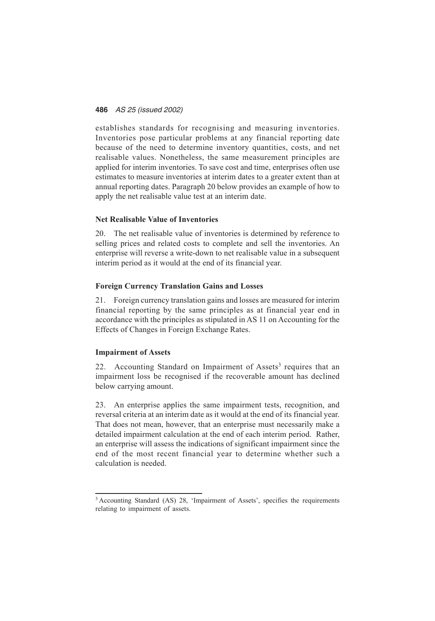establishes standards for recognising and measuring inventories. Inventories pose particular problems at any financial reporting date because of the need to determine inventory quantities, costs, and net realisable values. Nonetheless, the same measurement principles are applied for interim inventories. To save cost and time, enterprises often use estimates to measure inventories at interim dates to a greater extent than at annual reporting dates. Paragraph 20 below provides an example of how to apply the net realisable value test at an interim date.

#### **Net Realisable Value of Inventories**

20. The net realisable value of inventories is determined by reference to selling prices and related costs to complete and sell the inventories. An enterprise will reverse a write-down to net realisable value in a subsequent interim period as it would at the end of its financial year.

#### **Foreign Currency Translation Gains and Losses**

21. Foreign currency translation gains and losses are measured for interim financial reporting by the same principles as at financial year end in accordance with the principles as stipulated in AS 11 on Accounting for the Effects of Changes in Foreign Exchange Rates.

#### **Impairment of Assets**

22. Accounting Standard on Impairment of Assets<sup>3</sup> requires that an impairment loss be recognised if the recoverable amount has declined below carrying amount.

23. An enterprise applies the same impairment tests, recognition, and reversal criteria at an interim date as it would at the end of its financial year. That does not mean, however, that an enterprise must necessarily make a detailed impairment calculation at the end of each interim period. Rather, an enterprise will assess the indications of significant impairment since the end of the most recent financial year to determine whether such a calculation is needed.

<sup>&</sup>lt;sup>3</sup> Accounting Standard (AS) 28, 'Impairment of Assets', specifies the requirements relating to impairment of assets.